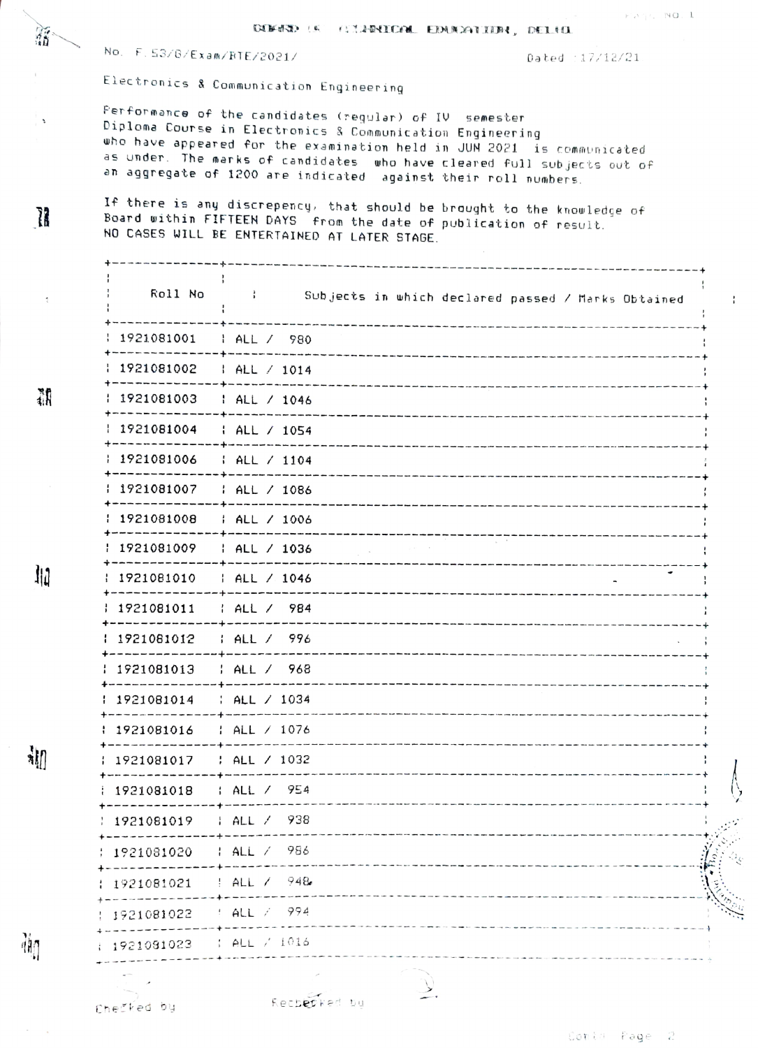DENSO (A (TIPRICOL EDUCATION, DELHI

No. F. 53/6/Exam/RTE/2021/

Dated : 17/12/21

Electronics & Communication Engineering

Performance of the candidates (regular) of IV semester Diploma Course in Electronics & Communication Engineering who have appeared for the examination held in JUN 2021  $\,$  is communicated as under. The marks of candidates who have cleared full subjects out of an aggregate of 1200 are indicated against their roll numbers.

If there is any discrepency, that should be brought to the knowledge of Board within FIFTEEN DAYS from the date of publication of result. NO CASES WILL BE ENTERTAINED AT LATER STAGE.

Roll No  $\frac{1}{2}$ Subjects in which declared passed / Marks Obtained  $\mathord{\mathsf{I}}$ -1 1921081001 1 ALL / 980 1921081002  $HAL / 1014$ -----------+-----------1921081003  $1 ALL / 1046$ ----------1921081004  $\frac{1}{2}$  ALL / 1054  $HALL / 1104$ 1921081006 --------------+----------1921081007  $: ALL \times 1086$ : 1921081008 1 ALL / 1006 --------------1921081009 | ALL / 1036 -------- $HAL / 1046$ 1921081010 ------------- + --------------۰ 1921081011  $1$  ALL  $/$  984 --------------<del>---------------</del> 1921081012  $1$  ALL  $/$  996 1921081013  $1$  ALL  $/$  968 --------------+-------------: ALL / 1034 1921081014 1921081016 : ALL / 1076 | ALL / 1032 1921081017 ----------. + -- -- -- -- -- $: ALL / 954$ 1921081018 ------------------| ALL / 938 1921081019 986 1921081020  $ALL$  / -------------+------ $ALL / 948$ 1921081021  $4$  ALL  $7$  994 1921081022 . \_ \_ \_ \_ \_ \_ \_ \_ \_ \_ + \_ \_ \_ .  $\uparrow$  ALL  $\neq$  1016 1921081023

郡

縮

 $\ddot{\phantom{0}}$ 

Ĩ.

Ju

詶

确

Recberked bu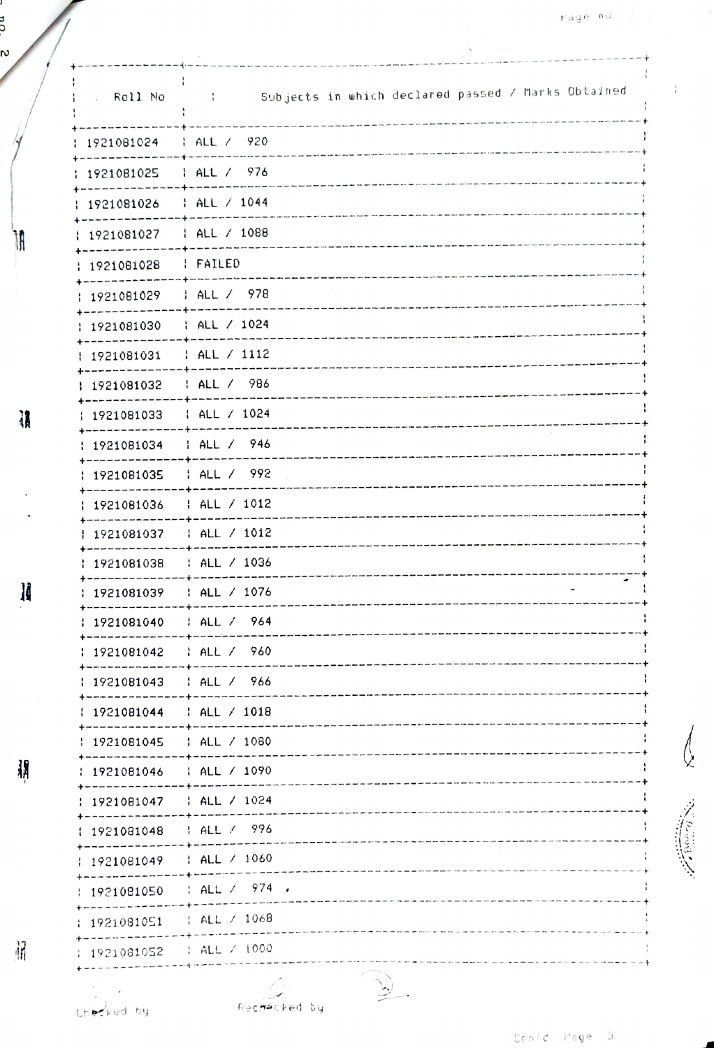$\bar{i}$ 

| . Roll No                                        | Subjects in which declared passed / Marks Obtained<br>$\sim$ $\sim$ $\sim$ |
|--------------------------------------------------|----------------------------------------------------------------------------|
| 1921081024                                       | $HALZ$ 920                                                                 |
| 1921081025                                       | HALL / 976                                                                 |
| 1921081026                                       | HALL / 1044                                                                |
| 1921081027                                       | $ ALZ $ 1088                                                               |
| 1921081028                                       | : FAILED                                                                   |
| 1921081029                                       | HALL / 978                                                                 |
| 1921081030                                       | $1$ ALL / 1024                                                             |
| 1921081031                                       | ALL / 1112                                                                 |
| 1921081032                                       | HALL / 986                                                                 |
| 1921081033                                       | $1$ ALL $/$ 1024                                                           |
| 1921081034                                       | HALL / 946                                                                 |
| 1921081035                                       | ALL / 992                                                                  |
| 1921081036                                       | HALL / 1012                                                                |
| 1921081037                                       | $: ALL \times 1012$                                                        |
| 1921081038                                       | : ALL / 1036                                                               |
| 1921081039                                       | : ALL / 1076                                                               |
| 1921081040                                       | HAL / 964                                                                  |
| 1921081042                                       | : ALL / 960                                                                |
| 1921081043   ALL / 966                           |                                                                            |
| 1921081044   ALL / 1018                          |                                                                            |
| 1921081045<br>                                   | : ALL / 1080                                                               |
| 1921081046   ALL / 1090<br>--------------------- |                                                                            |
| 1921081047   ALL / 1024<br><b>+--------</b>      |                                                                            |
| 1921081048<br>--------                           | HALL / 996<br>--------------                                               |
| 1921081049   ALL / 1060                          |                                                                            |
|                                                  | 1921081050 : ALL / 974 .<br>----+-----------                               |
| 1921081051   ALL / 1068                          |                                                                            |
| 1921081052   ALL / 1000                          |                                                                            |
|                                                  |                                                                            |

 $\overrightarrow{y}$ 

**Hacked** by

ƙec

ี<br>อ<br>ซ. ธ

Ì,

頿

胴

 $\sim$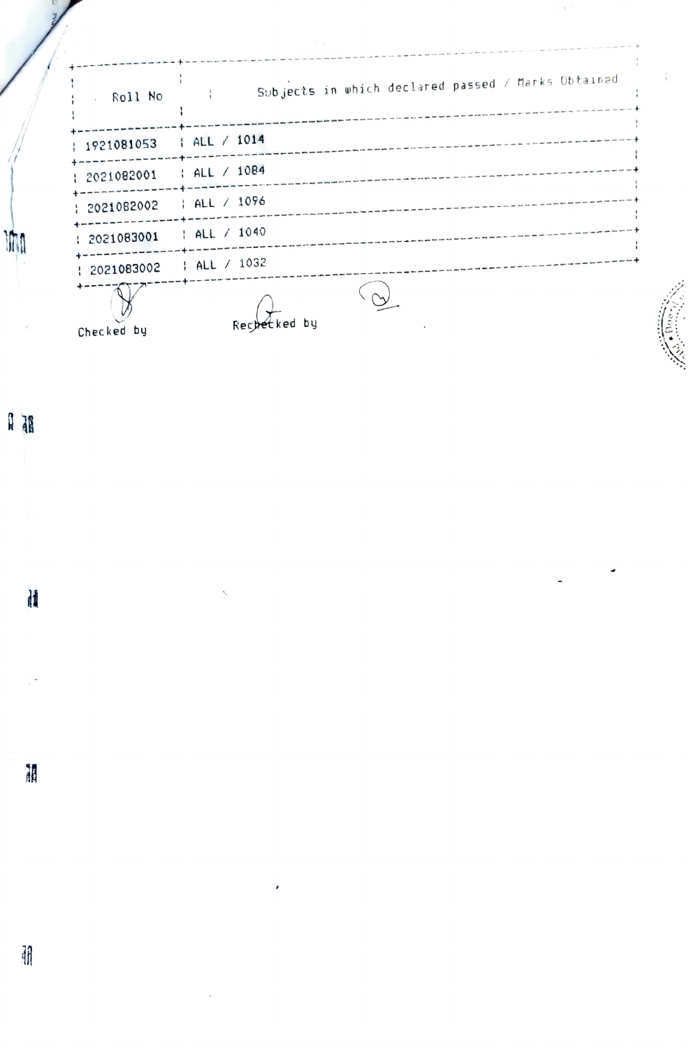| Roll No<br>$\sim$ | Subjects in which declared passed / Marks Obtained |
|-------------------|----------------------------------------------------|
| 1921081053<br>÷   | $1$ ALL $/$ 1014                                   |
| 2021082001<br>÷   | : ALL / 1084                                       |
| 1 2021082002      | HALL / 1096                                        |
| : 2021083001      | $;$ ALL / 1040                                     |
| 1 2021083002      | HALL / 1032                                        |
| Checked by        | Rechetked by                                       |

**M** 

H

誦

朋

 $\hat{\tau}$